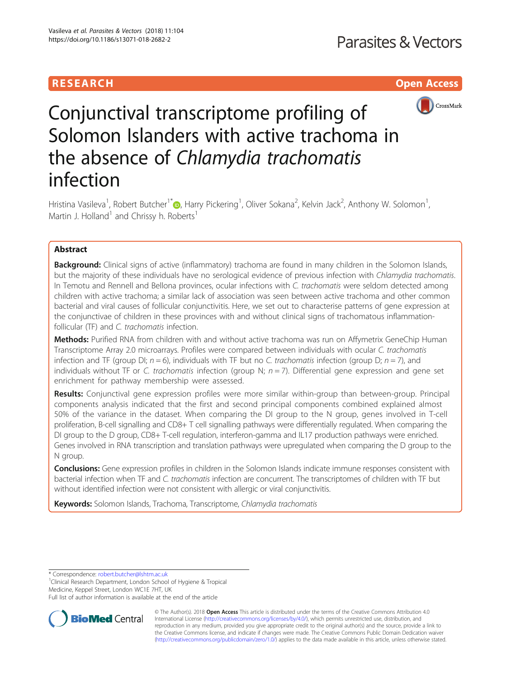# RESEARCH **RESEARCH CHOOSE ACCESS**



# Conjunctival transcriptome profiling of Solomon Islanders with active trachoma in the absence of Chlamydia trachomatis infection

Hristina Vasileva<sup>1</sup>, Robert Butcher<sup>1\*</sup>D, Harry Pickering<sup>1</sup>, Oliver Sokana<sup>2</sup>, Kelvin Jack<sup>2</sup>, Anthony W. Solomon<sup>1</sup> , Martin J. Holland<sup>1</sup> and Chrissy h. Roberts<sup>1</sup>

# Abstract

**Background:** Clinical signs of active (inflammatory) trachoma are found in many children in the Solomon Islands, but the majority of these individuals have no serological evidence of previous infection with Chlamydia trachomatis. In Temotu and Rennell and Bellona provinces, ocular infections with C. trachomatis were seldom detected among children with active trachoma; a similar lack of association was seen between active trachoma and other common bacterial and viral causes of follicular conjunctivitis. Here, we set out to characterise patterns of gene expression at the conjunctivae of children in these provinces with and without clinical signs of trachomatous inflammationfollicular (TF) and C. trachomatis infection.

Methods: Purified RNA from children with and without active trachoma was run on Affymetrix GeneChip Human Transcriptome Array 2.0 microarrays. Profiles were compared between individuals with ocular C. trachomatis infection and TF (group DI;  $n = 6$ ), individuals with TF but no C. trachomatis infection (group D;  $n = 7$ ), and individuals without TF or C. trachomatis infection (group N;  $n = 7$ ). Differential gene expression and gene set enrichment for pathway membership were assessed.

Results: Conjunctival gene expression profiles were more similar within-group than between-group. Principal components analysis indicated that the first and second principal components combined explained almost 50% of the variance in the dataset. When comparing the DI group to the N group, genes involved in T-cell proliferation, B-cell signalling and CD8+ T cell signalling pathways were differentially regulated. When comparing the DI group to the D group, CD8+ T-cell regulation, interferon-gamma and IL17 production pathways were enriched. Genes involved in RNA transcription and translation pathways were upregulated when comparing the D group to the N group.

Conclusions: Gene expression profiles in children in the Solomon Islands indicate immune responses consistent with bacterial infection when TF and C. trachomatis infection are concurrent. The transcriptomes of children with TF but without identified infection were not consistent with allergic or viral conjunctivitis.

Keywords: Solomon Islands, Trachoma, Transcriptome, Chlamydia trachomatis

\* Correspondence: [robert.butcher@lshtm.ac.uk](mailto:robert.butcher@lshtm.ac.uk) <sup>1</sup>

<sup>1</sup> Clinical Research Department, London School of Hygiene & Tropical Medicine, Keppel Street, London WC1E 7HT, UK

Full list of author information is available at the end of the article



© The Author(s). 2018 Open Access This article is distributed under the terms of the Creative Commons Attribution 4.0 International License [\(http://creativecommons.org/licenses/by/4.0/](http://creativecommons.org/licenses/by/4.0/)), which permits unrestricted use, distribution, and reproduction in any medium, provided you give appropriate credit to the original author(s) and the source, provide a link to the Creative Commons license, and indicate if changes were made. The Creative Commons Public Domain Dedication waiver [\(http://creativecommons.org/publicdomain/zero/1.0/](http://creativecommons.org/publicdomain/zero/1.0/)) applies to the data made available in this article, unless otherwise stated.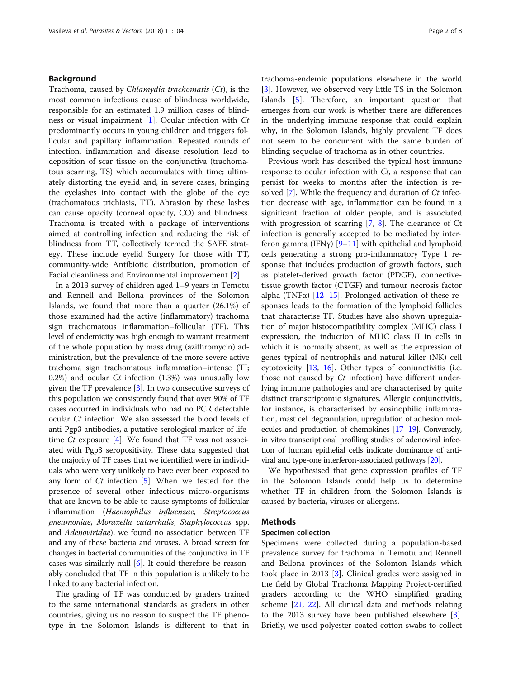# Background

Trachoma, caused by Chlamydia trachomatis (Ct), is the most common infectious cause of blindness worldwide, responsible for an estimated 1.9 million cases of blindness or visual impairment [[1\]](#page-6-0). Ocular infection with Ct predominantly occurs in young children and triggers follicular and papillary inflammation. Repeated rounds of infection, inflammation and disease resolution lead to deposition of scar tissue on the conjunctiva (trachomatous scarring, TS) which accumulates with time; ultimately distorting the eyelid and, in severe cases, bringing the eyelashes into contact with the globe of the eye (trachomatous trichiasis, TT). Abrasion by these lashes can cause opacity (corneal opacity, CO) and blindness. Trachoma is treated with a package of interventions aimed at controlling infection and reducing the risk of blindness from TT, collectively termed the SAFE strategy. These include eyelid Surgery for those with TT, community-wide Antibiotic distribution, promotion of Facial cleanliness and Environmental improvement [[2\]](#page-6-0).

In a 2013 survey of children aged 1–9 years in Temotu and Rennell and Bellona provinces of the Solomon Islands, we found that more than a quarter (26.1%) of those examined had the active (inflammatory) trachoma sign trachomatous inflammation–follicular (TF). This level of endemicity was high enough to warrant treatment of the whole population by mass drug (azithromycin) administration, but the prevalence of the more severe active trachoma sign trachomatous inflammation–intense (TI; 0.2%) and ocular  $Ct$  infection (1.3%) was unusually low given the TF prevalence [[3\]](#page-6-0). In two consecutive surveys of this population we consistently found that over 90% of TF cases occurred in individuals who had no PCR detectable ocular Ct infection. We also assessed the blood levels of anti-Pgp3 antibodies, a putative serological marker of lifetime  $Ct$  exposure [\[4](#page-6-0)]. We found that TF was not associated with Pgp3 seropositivity. These data suggested that the majority of TF cases that we identified were in individuals who were very unlikely to have ever been exposed to any form of  $Ct$  infection [\[5](#page-6-0)]. When we tested for the presence of several other infectious micro-organisms that are known to be able to cause symptoms of follicular inflammation (Haemophilus influenzae, Streptococcus pneumoniae, Moraxella catarrhalis, Staphylococcus spp. and Adenoviridae), we found no association between TF and any of these bacteria and viruses. A broad screen for changes in bacterial communities of the conjunctiva in TF cases was similarly null  $[6]$  $[6]$ . It could therefore be reasonably concluded that TF in this population is unlikely to be linked to any bacterial infection.

The grading of TF was conducted by graders trained to the same international standards as graders in other countries, giving us no reason to suspect the TF phenotype in the Solomon Islands is different to that in trachoma-endemic populations elsewhere in the world [[3\]](#page-6-0). However, we observed very little TS in the Solomon Islands [\[5](#page-6-0)]. Therefore, an important question that emerges from our work is whether there are differences in the underlying immune response that could explain why, in the Solomon Islands, highly prevalent TF does not seem to be concurrent with the same burden of blinding sequelae of trachoma as in other countries.

Previous work has described the typical host immune response to ocular infection with  $C_t$ , a response that can persist for weeks to months after the infection is re-solved [\[7](#page-6-0)]. While the frequency and duration of *Ct* infection decrease with age, inflammation can be found in a significant fraction of older people, and is associated with progression of scarring  $[7, 8]$  $[7, 8]$  $[7, 8]$  $[7, 8]$  $[7, 8]$ . The clearance of Ct infection is generally accepted to be mediated by interferon gamma (IFNγ)  $[9-11]$  $[9-11]$  $[9-11]$  $[9-11]$  $[9-11]$  with epithelial and lymphoid cells generating a strong pro-inflammatory Type 1 response that includes production of growth factors, such as platelet-derived growth factor (PDGF), connectivetissue growth factor (CTGF) and tumour necrosis factor alpha (TNF $\alpha$ ) [[12](#page-6-0)–[15](#page-6-0)]. Prolonged activation of these responses leads to the formation of the lymphoid follicles that characterise TF. Studies have also shown upregulation of major histocompatibility complex (MHC) class I expression, the induction of MHC class II in cells in which it is normally absent, as well as the expression of genes typical of neutrophils and natural killer (NK) cell cytotoxicity [[13,](#page-6-0) [16\]](#page-6-0). Other types of conjunctivitis (i.e. those not caused by  $Ct$  infection) have different underlying immune pathologies and are characterised by quite distinct transcriptomic signatures. Allergic conjunctivitis, for instance, is characterised by eosinophilic inflammation, mast cell degranulation, upregulation of adhesion molecules and production of chemokines [\[17](#page-6-0)–[19](#page-6-0)]. Conversely, in vitro transcriptional profiling studies of adenoviral infection of human epithelial cells indicate dominance of antiviral and type-one interferon-associated pathways [[20\]](#page-6-0).

We hypothesised that gene expression profiles of TF in the Solomon Islands could help us to determine whether TF in children from the Solomon Islands is caused by bacteria, viruses or allergens.

## Methods

# Specimen collection

Specimens were collected during a population-based prevalence survey for trachoma in Temotu and Rennell and Bellona provinces of the Solomon Islands which took place in 2013 [\[3](#page-6-0)]. Clinical grades were assigned in the field by Global Trachoma Mapping Project-certified graders according to the WHO simplified grading scheme [[21](#page-6-0), [22\]](#page-6-0). All clinical data and methods relating to the 2013 survey have been published elsewhere [\[3](#page-6-0)]. Briefly, we used polyester-coated cotton swabs to collect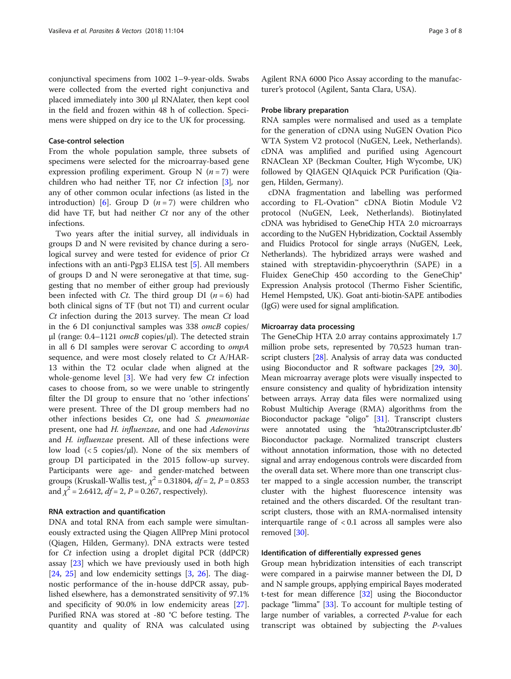conjunctival specimens from 1002 1–9-year-olds. Swabs were collected from the everted right conjunctiva and placed immediately into 300 μl RNAlater, then kept cool in the field and frozen within 48 h of collection. Specimens were shipped on dry ice to the UK for processing.

# Case-control selection

From the whole population sample, three subsets of specimens were selected for the microarray-based gene expression profiling experiment. Group N  $(n = 7)$  were children who had neither TF, nor Ct infection [[3\]](#page-6-0), nor any of other common ocular infections (as listed in the introduction) [\[6](#page-6-0)]. Group D ( $n = 7$ ) were children who did have TF, but had neither  $Ct$  nor any of the other infections.

Two years after the initial survey, all individuals in groups D and N were revisited by chance during a serological survey and were tested for evidence of prior Ct infections with an anti-Pgp3 ELISA test [[5\]](#page-6-0). All members of groups D and N were seronegative at that time, suggesting that no member of either group had previously been infected with *Ct*. The third group DI  $(n = 6)$  had both clinical signs of TF (but not TI) and current ocular Ct infection during the 2013 survey. The mean Ct load in the 6 DI conjunctival samples was 338 omcB copies/ μl (range:  $0.4-1121$  omcB copies/μl). The detected strain in all 6 DI samples were serovar C according to ompA sequence, and were most closely related to Ct A/HAR-13 within the T2 ocular clade when aligned at the whole-genome level  $[3]$  $[3]$ . We had very few Ct infection cases to choose from, so we were unable to stringently filter the DI group to ensure that no 'other infections' were present. Three of the DI group members had no other infections besides Ct, one had S. pneumoniae present, one had H. influenzae, and one had Adenovirus and H. influenzae present. All of these infections were low load  $\langle$  < 5 copies/ $\mu$ l). None of the six members of group DI participated in the 2015 follow-up survey. Participants were age- and gender-matched between groups (Kruskall-Wallis test,  $\chi^2$  = 0.31804,  $df$  = 2, P = 0.853 and  $\chi^2$  = 2.6412,  $df$  = 2, P = 0.267, respectively).

# RNA extraction and quantification

DNA and total RNA from each sample were simultaneously extracted using the Qiagen AllPrep Mini protocol (Qiagen, Hilden, Germany). DNA extracts were tested for Ct infection using a droplet digital PCR (ddPCR) assay [[23\]](#page-6-0) which we have previously used in both high  $[24, 25]$  $[24, 25]$  $[24, 25]$  $[24, 25]$  and low endemicity settings  $[3, 26]$  $[3, 26]$  $[3, 26]$  $[3, 26]$  $[3, 26]$ . The diagnostic performance of the in-house ddPCR assay, published elsewhere, has a demonstrated sensitivity of 97.1% and specificity of 90.0% in low endemicity areas [\[27](#page-6-0)]. Purified RNA was stored at -80 °C before testing. The quantity and quality of RNA was calculated using

Agilent RNA 6000 Pico Assay according to the manufacturer's protocol (Agilent, Santa Clara, USA).

#### Probe library preparation

RNA samples were normalised and used as a template for the generation of cDNA using NuGEN Ovation Pico WTA System V2 protocol (NuGEN, Leek, Netherlands). cDNA was amplified and purified using Agencourt RNAClean XP (Beckman Coulter, High Wycombe, UK) followed by QIAGEN QIAquick PCR Purification (Qiagen, Hilden, Germany).

cDNA fragmentation and labelling was performed according to FL-Ovation™ cDNA Biotin Module V2 protocol (NuGEN, Leek, Netherlands). Biotinylated cDNA was hybridised to GeneChip HTA 2.0 microarrays according to the NuGEN Hybridization, Cocktail Assembly and Fluidics Protocol for single arrays (NuGEN, Leek, Netherlands). The hybridized arrays were washed and stained with streptavidin-phycoerythrin (SAPE) in a Fluidex GeneChip 450 according to the GeneChip® Expression Analysis protocol (Thermo Fisher Scientific, Hemel Hempsted, UK). Goat anti-biotin-SAPE antibodies (IgG) were used for signal amplification.

# Microarray data processing

The GeneChip HTA 2.0 array contains approximately 1.7 million probe sets, represented by 70,523 human tran-script clusters [[28](#page-6-0)]. Analysis of array data was conducted using Bioconductor and R software packages [\[29](#page-6-0), [30](#page-6-0)]. Mean microarray average plots were visually inspected to ensure consistency and quality of hybridization intensity between arrays. Array data files were normalized using Robust Multichip Average (RMA) algorithms from the Bioconductor package "oligo" [\[31\]](#page-6-0). Transcript clusters were annotated using the 'hta20transcriptcluster.db' Bioconductor package. Normalized transcript clusters without annotation information, those with no detected signal and array endogenous controls were discarded from the overall data set. Where more than one transcript cluster mapped to a single accession number, the transcript cluster with the highest fluorescence intensity was retained and the others discarded. Of the resultant transcript clusters, those with an RMA-normalised intensity interquartile range of < 0.1 across all samples were also removed [\[30\]](#page-6-0).

# Identification of differentially expressed genes

Group mean hybridization intensities of each transcript were compared in a pairwise manner between the DI, D and N sample groups, applying empirical Bayes moderated t-test for mean difference [\[32\]](#page-6-0) using the Bioconductor package "limma" [\[33](#page-6-0)]. To account for multiple testing of large number of variables, a corrected P-value for each transcript was obtained by subjecting the P-values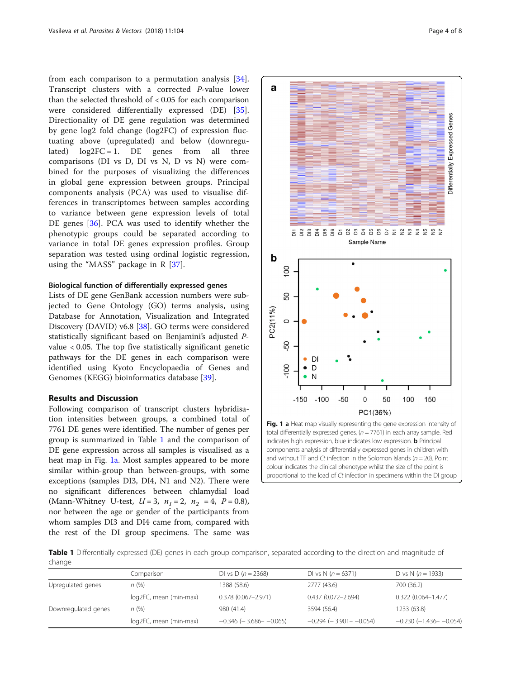<span id="page-3-0"></span>from each comparison to a permutation analysis [\[34](#page-7-0)]. Transcript clusters with a corrected P-value lower than the selected threshold of < 0.05 for each comparison were considered differentially expressed (DE) [\[35](#page-7-0)]. Directionality of DE gene regulation was determined by gene log2 fold change (log2FC) of expression fluctuating above (upregulated) and below (downregulated)  $log2FC = 1$ . DE genes from all three comparisons (DI vs D, DI vs N, D vs N) were combined for the purposes of visualizing the differences in global gene expression between groups. Principal components analysis (PCA) was used to visualise differences in transcriptomes between samples according to variance between gene expression levels of total DE genes [\[36](#page-7-0)]. PCA was used to identify whether the phenotypic groups could be separated according to variance in total DE genes expression profiles. Group separation was tested using ordinal logistic regression, using the "MASS" package in  $R$  [\[37](#page-7-0)].

# Biological function of differentially expressed genes

Lists of DE gene GenBank accession numbers were subjected to Gene Ontology (GO) terms analysis, using Database for Annotation, Visualization and Integrated Discovery (DAVID) v6.8 [[38\]](#page-7-0). GO terms were considered statistically significant based on Benjamini's adjusted Pvalue < 0.05. The top five statistically significant genetic pathways for the DE genes in each comparison were identified using Kyoto Encyclopaedia of Genes and Genomes (KEGG) bioinformatics database [[39\]](#page-7-0).

# Results and Discussion

Following comparison of transcript clusters hybridisation intensities between groups, a combined total of 7761 DE genes were identified. The number of genes per group is summarized in Table 1 and the comparison of DE gene expression across all samples is visualised as a heat map in Fig. 1a. Most samples appeared to be more similar within-group than between-groups, with some exceptions (samples DI3, DI4, N1 and N2). There were no significant differences between chlamydial load (Mann-Whitney U-test,  $U = 3$ ,  $n_1 = 2$ ,  $n_2 = 4$ ,  $P = 0.8$ ), nor between the age or gender of the participants from whom samples DI3 and DI4 came from, compared with the rest of the DI group specimens. The same was



total differentially expressed genes,  $(n = 7761)$  in each array sample. Red indicates high expression, blue indicates low expression. **b** Principal components analysis of differentially expressed genes in children with and without TF and Ct infection in the Solomon Islands ( $n = 20$ ). Point colour indicates the clinical phenotype whilst the size of the point is proportional to the load of Ct infection in specimens within the DI group

Table 1 Differentially expressed (DE) genes in each group comparison, separated according to the direction and magnitude of change

|                     | Comparison             | DI vs D $(n = 2368)$           | DI vs N $(n = 6371)$           | D vs N $(n = 1933)$            |
|---------------------|------------------------|--------------------------------|--------------------------------|--------------------------------|
| Upregulated genes   | n(%)                   | 1388 (58.6)                    | 2777 (43.6)                    | 700 (36.2)                     |
|                     | log2FC, mean (min-max) | $0.378(0.067 - 2.971)$         | $0.437(0.072 - 2.694)$         | $0.322(0.064 - 1.477)$         |
| Downregulated genes | n (%)                  | 980 (41.4)                     | 3594 (56.4)                    | 1233 (63.8)                    |
|                     | log2FC, mean (min-max) | $-0.346$ ( $-3.686 - -0.065$ ) | $-0.294$ ( $-3.901 - -0.054$ ) | $-0.230$ ( $-1.436 - -0.054$ ) |
|                     |                        |                                |                                |                                |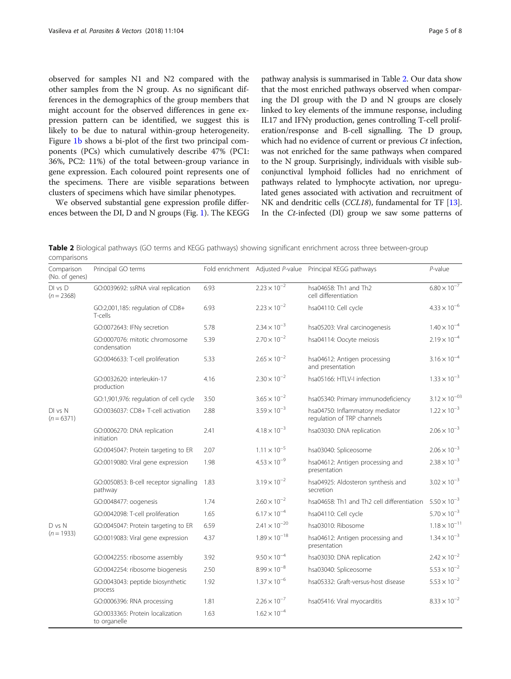observed for samples N1 and N2 compared with the other samples from the N group. As no significant differences in the demographics of the group members that might account for the observed differences in gene expression pattern can be identified, we suggest this is likely to be due to natural within-group heterogeneity. Figure [1b](#page-3-0) shows a bi-plot of the first two principal components (PCs) which cumulatively describe 47% (PC1: 36%, PC2: 11%) of the total between-group variance in gene expression. Each coloured point represents one of the specimens. There are visible separations between clusters of specimens which have similar phenotypes.

We observed substantial gene expression profile differences between the DI, D and N groups (Fig. [1](#page-3-0)). The KEGG pathway analysis is summarised in Table 2. Our data show that the most enriched pathways observed when comparing the DI group with the D and N groups are closely linked to key elements of the immune response, including IL17 and IFNγ production, genes controlling T-cell proliferation/response and B-cell signalling. The D group, which had no evidence of current or previous Ct infection, was not enriched for the same pathways when compared to the N group. Surprisingly, individuals with visible subconjunctival lymphoid follicles had no enrichment of pathways related to lymphocyte activation, nor upregulated genes associated with activation and recruitment of NK and dendritic cells (CCL18), fundamental for TF [[13](#page-6-0)]. In the Ct-infected (DI) group we saw some patterns of

Table 2 Biological pathways (GO terms and KEGG pathways) showing significant enrichment across three between-group comparisons

| Comparison<br>(No. of genes) | Principal GO terms                                |      |                        | Fold enrichment Adjusted P-value Principal KEGG pathways      | $P$ -value             |
|------------------------------|---------------------------------------------------|------|------------------------|---------------------------------------------------------------|------------------------|
| $DI$ vs $D$<br>$(n = 2368)$  | GO:0039692: ssRNA viral replication               | 6.93 | $2.23 \times 10^{-2}$  | hsa04658: Th1 and Th2<br>cell differentiation                 | $6.80 \times 10^{-7}$  |
|                              | GO:2,001,185: regulation of CD8+<br>T-cells       | 6.93 | $2.23 \times 10^{-2}$  | hsa04110: Cell cycle                                          | $4.33 \times 10^{-6}$  |
|                              | GO:0072643: IFNy secretion                        | 5.78 | $2.34 \times 10^{-3}$  | hsa05203: Viral carcinogenesis                                | $1.40 \times 10^{-4}$  |
|                              | GO:0007076: mitotic chromosome<br>condensation    | 5.39 | $2.70 \times 10^{-2}$  | hsa04114: Oocyte meiosis                                      | $2.19 \times 10^{-4}$  |
|                              | GO:0046633: T-cell proliferation                  | 5.33 | $2.65 \times 10^{-2}$  | hsa04612: Antigen processing<br>and presentation              | $3.16 \times 10^{-4}$  |
|                              | GO:0032620: interleukin-17<br>production          | 4.16 | $2.30 \times 10^{-2}$  | hsa05166: HTLV-I infection                                    | $1.33 \times 10^{-3}$  |
|                              | GO:1,901,976: regulation of cell cycle            | 3.50 | $3.65 \times 10^{-2}$  | hsa05340: Primary immunodeficiency                            | $3.12 \times 10^{-03}$ |
| DI vs N<br>$(n = 6371)$      | GO:0036037: CD8+ T-cell activation                | 2.88 | $3.59 \times 10^{-3}$  | hsa04750: Inflammatory mediator<br>regulation of TRP channels | $1.22 \times 10^{-3}$  |
|                              | GO:0006270: DNA replication<br>initiation         | 2.41 | $4.18 \times 10^{-3}$  | hsa03030: DNA replication                                     | $2.06 \times 10^{-3}$  |
|                              | GO:0045047: Protein targeting to ER               | 2.07 | $1.11 \times 10^{-5}$  | hsa03040: Spliceosome                                         | $2.06 \times 10^{-3}$  |
|                              | GO:0019080: Viral gene expression                 | 1.98 | $4.53 \times 10^{-9}$  | hsa04612: Antigen processing and<br>presentation              | $2.38 \times 10^{-3}$  |
|                              | GO:0050853: B-cell receptor signalling<br>pathway | 1.83 | $3.19 \times 10^{-2}$  | hsa04925: Aldosteron synthesis and<br>secretion               | $3.02 \times 10^{-3}$  |
|                              | GO:0048477: oogenesis                             | 1.74 | $2.60 \times 10^{-2}$  | hsa04658: Th1 and Th2 cell differentiation                    | $5.50 \times 10^{-3}$  |
|                              | GO:0042098: T-cell proliferation                  | 1.65 | $6.17 \times 10^{-4}$  | hsa04110: Cell cycle                                          | $5.70 \times 10^{-3}$  |
| D vs N<br>$(n = 1933)$       | GO:0045047: Protein targeting to ER               | 6.59 | $2.41 \times 10^{-20}$ | hsa03010: Ribosome                                            | $1.18 \times 10^{-11}$ |
|                              | GO:0019083: Viral gene expression                 | 4.37 | $1.89 \times 10^{-18}$ | hsa04612: Antigen processing and<br>presentation              | $1.34 \times 10^{-3}$  |
|                              | GO:0042255: ribosome assembly                     | 3.92 | $9.50 \times 10^{-4}$  | hsa03030: DNA replication                                     | $2.42 \times 10^{-2}$  |
|                              | GO:0042254: ribosome biogenesis                   | 2.50 | $8.99 \times 10^{-8}$  | hsa03040: Spliceosome                                         | $5.53 \times 10^{-2}$  |
|                              | GO:0043043: peptide biosynthetic<br>process       | 1.92 | $1.37 \times 10^{-6}$  | hsa05332: Graft-versus-host disease                           | $5.53 \times 10^{-2}$  |
|                              | GO:0006396: RNA processing                        | 1.81 | $2.26 \times 10^{-7}$  | hsa05416: Viral myocarditis                                   | $8.33 \times 10^{-2}$  |
|                              | GO:0033365: Protein localization<br>to organelle  | 1.63 | $1.62 \times 10^{-4}$  |                                                               |                        |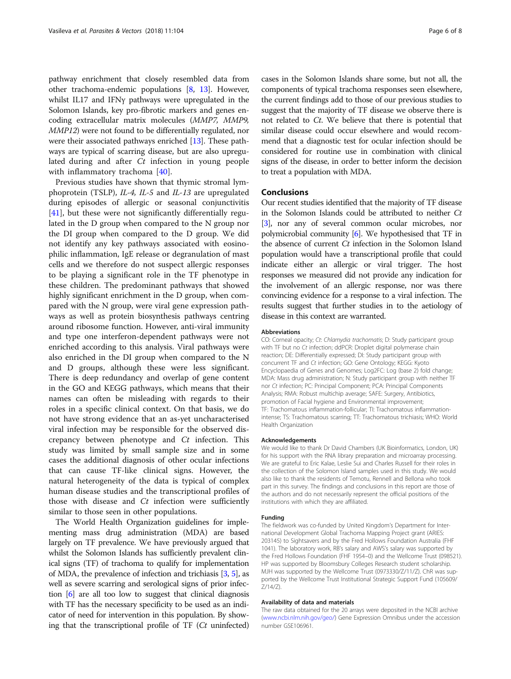pathway enrichment that closely resembled data from other trachoma-endemic populations [\[8](#page-6-0), [13](#page-6-0)]. However, whilst IL17 and IFNγ pathways were upregulated in the Solomon Islands, key pro-fibrotic markers and genes encoding extracellular matrix molecules (MMP7, MMP9, MMP12) were not found to be differentially regulated, nor were their associated pathways enriched [[13](#page-6-0)]. These pathways are typical of scarring disease, but are also upregulated during and after Ct infection in young people with inflammatory trachoma [\[40](#page-7-0)].

Previous studies have shown that thymic stromal lymphoprotein (TSLP), IL-4, IL-5 and IL-13 are upregulated during episodes of allergic or seasonal conjunctivitis [[41\]](#page-7-0), but these were not significantly differentially regulated in the D group when compared to the N group nor the DI group when compared to the D group. We did not identify any key pathways associated with eosinophilic inflammation, IgE release or degranulation of mast cells and we therefore do not suspect allergic responses to be playing a significant role in the TF phenotype in these children. The predominant pathways that showed highly significant enrichment in the D group, when compared with the N group, were viral gene expression pathways as well as protein biosynthesis pathways centring around ribosome function. However, anti-viral immunity and type one interferon-dependent pathways were not enriched according to this analysis. Viral pathways were also enriched in the DI group when compared to the N and D groups, although these were less significant. There is deep redundancy and overlap of gene content in the GO and KEGG pathways, which means that their names can often be misleading with regards to their roles in a specific clinical context. On that basis, we do not have strong evidence that an as-yet uncharacterised viral infection may be responsible for the observed discrepancy between phenotype and  $Ct$  infection. This study was limited by small sample size and in some cases the additional diagnosis of other ocular infections that can cause TF-like clinical signs. However, the natural heterogeneity of the data is typical of complex human disease studies and the transcriptional profiles of those with disease and  $Ct$  infection were sufficiently similar to those seen in other populations.

The World Health Organization guidelines for implementing mass drug administration (MDA) are based largely on TF prevalence. We have previously argued that whilst the Solomon Islands has sufficiently prevalent clinical signs (TF) of trachoma to qualify for implementation of MDA, the prevalence of infection and trichiasis [\[3](#page-6-0), [5\]](#page-6-0), as well as severe scarring and serological signs of prior infection [[6](#page-6-0)] are all too low to suggest that clinical diagnosis with TF has the necessary specificity to be used as an indicator of need for intervention in this population. By showing that the transcriptional profile of  $TF$  ( $Ct$  uninfected) cases in the Solomon Islands share some, but not all, the components of typical trachoma responses seen elsewhere, the current findings add to those of our previous studies to suggest that the majority of TF disease we observe there is not related to Ct. We believe that there is potential that similar disease could occur elsewhere and would recommend that a diagnostic test for ocular infection should be considered for routine use in combination with clinical signs of the disease, in order to better inform the decision to treat a population with MDA.

# Conclusions

Our recent studies identified that the majority of TF disease in the Solomon Islands could be attributed to neither Ct [[3](#page-6-0)], nor any of several common ocular microbes, nor polymicrobial community [\[6\]](#page-6-0). We hypothesised that TF in the absence of current  $Ct$  infection in the Solomon Island population would have a transcriptional profile that could indicate either an allergic or viral trigger. The host responses we measured did not provide any indication for the involvement of an allergic response, nor was there convincing evidence for a response to a viral infection. The results suggest that further studies in to the aetiology of disease in this context are warranted.

#### Abbreviations

CO: Corneal opacity; Ct: Chlamydia trachomatis; D: Study participant group with TF but no Ct infection; ddPCR: Droplet digital polymerase chain reaction; DE: Differentially expressed; DI: Study participant group with concurrent TF and Ct infection; GO: Gene Ontology; KEGG: Kyoto Encyclopaedia of Genes and Genomes; Log2FC: Log (base 2) fold change; MDA: Mass drug administration; N: Study participant group with neither TF nor Ct infection; PC: Principal Component; PCA: Principal Components Analysis; RMA: Robust multichip average; SAFE: Surgery, Antibiotics, promotion of Facial hygiene and Environmental improvement; TF: Trachomatous inflammation-follicular; TI: Trachomatous inflammationintense; TS: Trachomatous scarring; TT: Trachomatous trichiasis; WHO: World Health Organization

#### Acknowledgements

We would like to thank Dr David Chambers (UK Bioinformatics, London, UK) for his support with the RNA library preparation and microarray processing. We are grateful to Eric Kalae, Leslie Sui and Charles Russell for their roles in the collection of the Solomon Island samples used in this study. We would also like to thank the residents of Temotu, Rennell and Bellona who took part in this survey. The findings and conclusions in this report are those of the authors and do not necessarily represent the official positions of the institutions with which they are affiliated.

# Funding

The fieldwork was co-funded by United Kingdom's Department for International Development Global Trachoma Mapping Project grant (ARIES: 203145) to Sightsavers and by the Fred Hollows Foundation Australia (FHF 1041). The laboratory work, RB's salary and AWS's salary was supported by the Fred Hollows Foundation (FHF 1954–0) and the Wellcome Trust (098521). HP was supported by Bloomsbury Colleges Research student scholarship. MJH was supported by the Wellcome Trust (0973330/Z/11/Z). ChR was supported by the Wellcome Trust Institutional Strategic Support Fund (105609/ Z/14/Z).

#### Availability of data and materials

The raw data obtained for the 20 arrays were deposited in the NCBI archive ([www.ncbi.nlm.nih.gov/geo/](http://www.ncbi.nlm.nih.gov/geo)) Gene Expression Omnibus under the accession number GSE106961.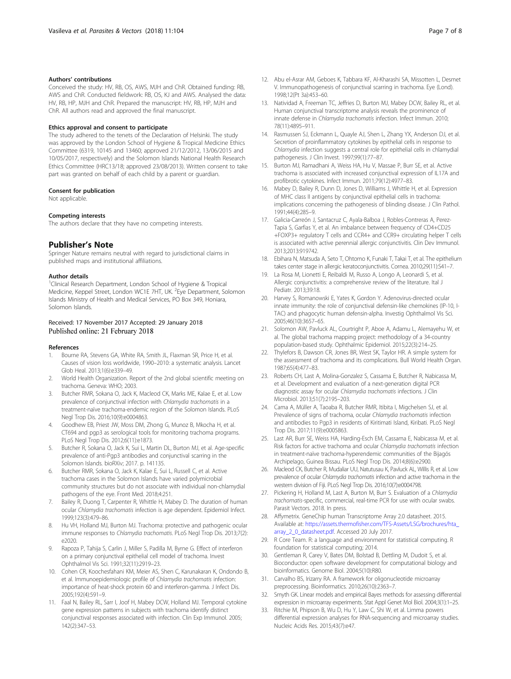## <span id="page-6-0"></span>Authors' contributions

Conceived the study: HV, RB, OS, AWS, MJH and ChR. Obtained funding: RB, AWS and ChR. Conducted fieldwork: RB, OS, KJ and AWS. Analysed the data: HV, RB, HP, MJH and ChR. Prepared the manuscript: HV, RB, HP, MJH and ChR. All authors read and approved the final manuscript.

#### Ethics approval and consent to participate

The study adhered to the tenets of the Declaration of Helsinki. The study was approved by the London School of Hygiene & Tropical Medicine Ethics Committee (6319, 10145 and 13460; approved 21/12/2012, 13/06/2015 and 10/05/2017, respectively) and the Solomon Islands National Health Research Ethics Committee (HRC13/18; approved 23/08/2013). Written consent to take part was granted on behalf of each child by a parent or guardian.

#### Consent for publication

Not applicable.

#### Competing interests

The authors declare that they have no competing interests.

## Publisher's Note

Springer Nature remains neutral with regard to jurisdictional claims in published maps and institutional affiliations.

#### Author details

<sup>1</sup>Clinical Research Department, London School of Hygiene & Tropical Medicine, Keppel Street, London WC1E 7HT, UK. <sup>2</sup>Eye Department, Solomon Islands Ministry of Health and Medical Services, PO Box 349, Honiara, Solomon Islands.

#### Received: 17 November 2017 Accepted: 29 January 2018 Published online: 21 February 2018

#### References

- 1. Bourne RA, Stevens GA, White RA, Smith JL, Flaxman SR, Price H, et al. Causes of vision loss worldwide, 1990–2010: a systematic analysis. Lancet Glob Heal. 2013;1(6):e339–49.
- 2. World Health Organization. Report of the 2nd global scientific meeting on trachoma. Geneva: WHO; 2003.
- 3. Butcher RMR, Sokana O, Jack K, Macleod CK, Marks ME, Kalae E, et al. Low prevalence of conjunctival infection with Chlamydia trachomatis in a treatment-naïve trachoma-endemic region of the Solomon Islands. PLoS Negl Trop Dis. 2016;10(9):e0004863.
- 4. Goodhew EB, Priest JW, Moss DM, Zhong G, Munoz B, Mkocha H, et al. CT694 and pgp3 as serological tools for monitoring trachoma programs. PLoS Negl Trop Dis. 2012;6(11):e1873.
- 5. Butcher R, Sokana O, Jack K, Sui L, Martin DL, Burton MJ, et al. Age-specific prevalence of anti-Pgp3 antibodies and conjunctival scarring in the Solomon Islands. bioRXiv; 2017. p. 141135.
- 6. Butcher RMR, Sokana O, Jack K, Kalae E, Sui L, Russell C, et al. Active trachoma cases in the Solomon Islands have varied polymicrobial community structures but do not associate with individual non-chlamydial pathogens of the eye. Front Med. 2018;4:251.
- 7. Bailey R, Duong T, Carpenter R, Whittle H, Mabey D. The duration of human ocular Chlamydia trachomatis infection is age dependent. Epidemiol Infect. 1999;123(3):479–86.
- Hu VH, Holland MJ, Burton MJ. Trachoma: protective and pathogenic ocular immune responses to Chlamydia trachomatis. PLoS Negl Trop Dis. 2013;7(2): e2020.
- 9. Rapoza P, Tahija S, Carlin J, Miller S, Padilla M, Byrne G. Effect of interferon on a primary conjunctival epithelial cell model of trachoma. Invest Ophthalmol Vis Sci. 1991;32(11):2919–23.
- 10. Cohen CR, Koochesfahani KM, Meier AS, Shen C, Karunakaran K, Ondondo B, et al. Immunoepidemiologic profile of Chlamydia trachomatis infection: importance of heat-shock protein 60 and interferon-gamma. J Infect Dis. 2005;192(4):591–9.
- 11. Faal N, Bailey RL, Sarr I, Joof H, Mabey DCW, Holland MJ. Temporal cytokine gene expression patterns in subjects with trachoma identify distinct conjunctival responses associated with infection. Clin Exp Immunol. 2005; 142(2):347–53.
- 12. Abu el-Asrar AM, Geboes K, Tabbara KF, Al-Kharashi SA, Missotten L, Desmet V. Immunopathogenesis of conjunctival scarring in trachoma. Eye (Lond). 1998;12(Pt 3a):453–60.
- 13. Natividad A, Freeman TC, Jeffries D, Burton MJ, Mabey DCW, Bailey RL, et al. Human conjunctival transcriptome analysis reveals the prominence of innate defense in Chlamydia trachomatis infection. Infect Immun. 2010; 78(11):4895–911.
- 14. Rasmussen SJ, Eckmann L, Quayle AJ, Shen L, Zhang YX, Anderson DJ, et al. Secretion of proinflammatory cytokines by epithelial cells in response to Chlamydia infection suggests a central role for epithelial cells in chlamydial pathogenesis. J Clin Invest. 1997;99(1):77–87.
- 15. Burton MJ, Ramadhani A, Weiss HA, Hu V, Massae P, Burr SE, et al. Active trachoma is associated with increased conjunctival expression of IL17A and profibrotic cytokines. Infect Immun. 2011;79(12):4977–83.
- 16. Mabey D, Bailey R, Dunn D, Jones D, Williams J, Whittle H, et al. Expression of MHC class II antigens by conjunctival epithelial cells in trachoma: implications concerning the pathogenesis of blinding disease. J Clin Pathol. 1991;44(4):285–9.
- 17. Galicia-Carreón J, Santacruz C, Ayala-Balboa J, Robles-Contreras A, Perez-Tapia S, Garfias Y, et al. An imbalance between frequency of CD4+CD25 +FOXP3+ regulatory T cells and CCR4+ and CCR9+ circulating helper T cells is associated with active perennial allergic conjunctivitis. Clin Dev Immunol. 2013;2013:919742.
- 18. Ebihara N, Matsuda A, Seto T, Ohtomo K, Funaki T, Takai T, et al. The epithelium takes center stage in allergic keratoconjunctivitis. Cornea. 2010;29(11):S41–7.
- 19. La Rosa M, Lionetti E, Reibaldi M, Russo A, Longo A, Leonardi S, et al. Allergic conjunctivitis: a comprehensive review of the literature. Ital J Pediatr. 2013;39:18.
- 20. Harvey S, Romanowski E, Yates K, Gordon Y. Adenovirus-directed ocular innate immunity: the role of conjunctival defensin-like chemokines (IP-10, I-TAC) and phagocytic human defensin-alpha. Investig Ophthalmol Vis Sci. 2005;46(10):3657–65.
- 21. Solomon AW, Pavluck AL, Courtright P, Aboe A, Adamu L, Alemayehu W, et al. The global trachoma mapping project: methodology of a 34-country population-based study. Ophthalmic Epidemiol. 2015;22(3):214–25.
- 22. Thylefors B, Dawson CR, Jones BR, West SK, Taylor HR. A simple system for the assessment of trachoma and its complications. Bull World Health Organ. 1987;65(4):477–83.
- 23. Roberts CH, Last A, Molina-Gonzalez S, Cassama E, Butcher R, Nabicassa M, et al. Development and evaluation of a next-generation digital PCR diagnostic assay for ocular Chlamydia trachomatis infections. J Clin Microbiol. 2013;51(7):2195–203.
- 24. Cama A, Müller A, Taoaba R, Butcher RMR, Itibita I, Migchelsen SJ, et al. Prevalence of signs of trachoma, ocular Chlamydia trachomatis infection and antibodies to Pgp3 in residents of Kiritimati Island, Kiribati. PLoS Negl Trop Dis. 2017;11(9):e0005863.
- 25. Last AR, Burr SE, Weiss HA, Harding-Esch EM, Cassama E, Nabicassa M, et al. Risk factors for active trachoma and ocular Chlamydia trachomatis infection in treatment-naïve trachoma-hyperendemic communities of the Bijagós Archipelago, Guinea Bissau. PLoS Negl Trop Dis. 2014;8(6):e2900.
- 26. Macleod CK, Butcher R, Mudaliar UU, Natutusau K, Pavluck AL, Willis R, et al. Low prevalence of ocular Chlamydia trachomatis infection and active trachoma in the western division of Fiji. PLoS Negl Trop Dis. 2016;10(7):e0004798.
- 27. Pickering H, Holland M, Last A, Burton M, Burr S. Evaluation of a Chlamydia trachomatis-specific, commercial, real-time PCR for use with ocular swabs. Parasit Vectors. 2018. In press.
- 28. Affymetrix. GeneChip human Transcriptome Array 2.0 datasheet. 2015. Available at: [https://assets.thermofisher.com/TFS-Assets/LSG/brochures/hta\\_](https://assets.thermofisher.com/TFS-Assets/LSG/brochures/hta_array_2_0_datasheet.pdf) [array\\_2\\_0\\_datasheet.pdf](https://assets.thermofisher.com/TFS-Assets/LSG/brochures/hta_array_2_0_datasheet.pdf). Accessed 20 July 2017.
- 29. R Core Team. R: a language and environment for statistical computing. R foundation for statistical computing; 2014.
- 30. Gentleman R, Carey V, Bates DM, Bolstad B, Dettling M, Dudoit S, et al. Bioconductor: open software development for computational biology and bioinformatics. Genome Biol. 2004;5(10):R80.
- 31. Carvalho BS, Irizarry RA. A framework for oligonucleotide microarray preprocessing. Bioinformatics. 2010;26(10):2363–7.
- 32. Smyth GK. Linear models and empirical Bayes methods for assessing differential expression in microarray experiments. Stat Appl Genet Mol Biol. 2004;3(1):1–25.
- 33. Ritchie M, Phipson B, Wu D, Hu Y, Law C, Shi W, et al. Limma powers differential expression analyses for RNA-sequencing and microarray studies. Nucleic Acids Res. 2015;43(7):e47.